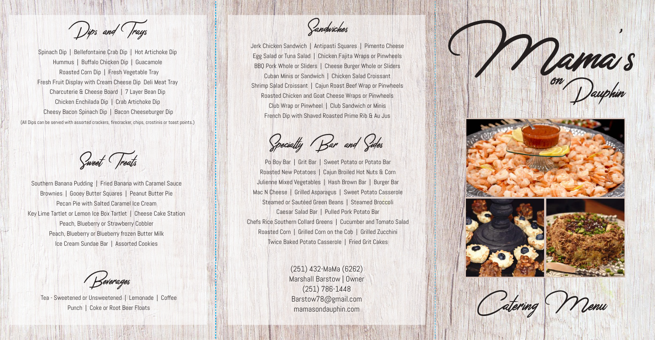

(251) 432-MaMa (6262) Marshall Barstow | Owner (251) 786-1448 Barstow78@gmail.com mamasondauphin.com



Tea - Sweetened or Unsweetened | Lemonade | Coffee Punch | Coke or Root Beer Floats

Beverages

Southern Banana Pudding | Fried Banana with Caramel Sauce Brownies | Gooey Butter Squares | Peanut Butter Pie Pecan Pie with Salted Caramel Ice Cream Key Lime Tartlet or Lemon Ice Box Tartlet | Cheese Cake Station Peach, Blueberry or Strawberry Cobbler Peach, Blueberry or Blueberry frozen Butter Milk Ice Cream Sundae Bar | Assorted Cookies

Dips and Trays

Spinach Dip | Bellefontaine Crab Dip | Hot Artichoke Dip Hummus | Buffalo Chicken Dip | Guacamole Roasted Corn Dip | Fresh Vegetable Tray Fresh Fruit Display with Cream Cheese Dip Deli Meat Tray Charcuterie & Cheese Board | 7 Layer Bean Dip Chicken Enchilada Dip | Crab Artichoke Dip Cheesy Bacon Spinach Dip | Bacon Cheeseburger Dip (All Dips can be served with assorted crackers, firecracker, chips, crostinis or toast points.)

Sweet Treats

Po Boy Bar | Grit Bar | Sweet Potato or Potato Bar Roasted New Potatoes | Cajun Broiled Hot Nuts & Corn Julienne Mixed Vegetables | Hash Brown Bar | Burger Bar Mac N Cheese | Grilled Asparagus | Sweet Potato Casserole Steamed or Sautéed Green Beans | Steamed Broccoli Caesar Salad Bar | Pulled Pork Potato Bar Chefs Rice Southern Collard Greens | Cucumber and Tomato Salad Roasted Corn | Grilled Corn on the Cob | Grilled Zucchini Twice Baked Potato Casserole | Fried Grit Cakes

Jerk Chicken Sandwich | Antipasti Squares | Pimento Cheese Egg Salad or Tuna Salad | Chicken Fajita Wraps or Pinwheels BBQ Pork Whole or Sliders | Cheese Burger Whole or Sliders Cuban Minis or Sandwich | Chicken Salad Croissant Shrimp Salad Croissant | Cajun Roast Beef Wrap or Pinwheels Roasted Chicken and Goat Cheese Wraps or Pinwheels Club Wrap or Pinwheel | Club Sandwich or Minis French Dip with Shaved Roasted Prime Rib & Au Jus

Specialty Bar and Sides

Sandwiches